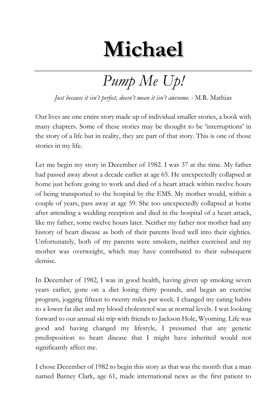## **Michael**

*Pump Me Up!*

*Just because it isn't perfect, doesn't mean it isn't awesome. -* M.R. Mathias

Our lives are one entire story made up of individual smaller stories, a book with many chapters. Some of these stories may be thought to be 'interruptions' in the story of a life but in reality, they are part of that story. This is one of those stories in my life.

Let me begin my story in December of 1982. I was 37 at the time. My father had passed away about a decade earlier at age 65. He unexpectedly collapsed at home just before going to work and died of a heart attack within twelve hours of being transported to the hospital by the EMS. My mother would, within a couple of years, pass away at age 59. She too unexpectedly collapsed at home after attending a wedding reception and died in the hospital of a heart attack, like my father, some twelve hours later. Neither my father nor mother had any history of heart disease as both of their parents lived well into their eighties. Unfortunately, both of my parents were smokers, neither exercised and my mother was overweight, which may have contributed to their subsequent demise.

In December of 1982, I was in good health, having given up smoking seven years earlier, gone on a diet losing thirty pounds, and began an exercise program, jogging fifteen to twenty miles per week. I changed my eating habits to a lower fat diet and my blood cholesterol was at normal levels. I was looking forward to our annual ski trip with friends to Jackson Hole, Wyoming. Life was good and having changed my lifestyle, I presumed that any genetic predisposition to heart disease that I might have inherited would not significantly affect me.

I chose December of 1982 to begin this story as that was the month that a man named Barney Clark, age 61, made international news as the first patient to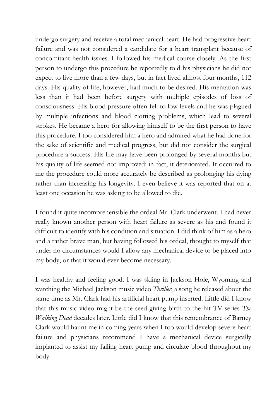undergo surgery and receive a total mechanical heart. He had progressive heart failure and was not considered a candidate for a heart transplant because of concomitant health issues. I followed his medical course closely. As the first person to undergo this procedure he reportedly told his physicians he did not expect to live more than a few days, but in fact lived almost four months, 112 days. His quality of life, however, had much to be desired. His mentation was less than it had been before surgery with multiple episodes of loss of consciousness. His blood pressure often fell to low levels and he was plagued by multiple infections and blood clotting problems, which lead to several strokes. He became a hero for allowing himself to be the first person to have this procedure. I too considered him a hero and admired what he had done for the sake of scientific and medical progress, but did not consider the surgical procedure a success. His life may have been prolonged by several months but his quality of life seemed not improved; in fact, it deteriorated. It occurred to me the procedure could more accurately be described as prolonging his dying rather than increasing his longevity. I even believe it was reported that on at least one occasion he was asking to be allowed to die.

I found it quite incomprehensible the ordeal Mr. Clark underwent. I had never really known another person with heart failure as severe as his and found it difficult to identify with his condition and situation. I did think of him as a hero and a rather brave man, but having followed his ordeal, thought to myself that under no circumstances would I allow any mechanical device to be placed into my body, or that it would ever become necessary.

I was healthy and feeling good. I was skiing in Jackson Hole, Wyoming and watching the Michael Jackson music video *Thriller*, a song he released about the same time as Mr. Clark had his artificial heart pump inserted. Little did I know that this music video might be the seed giving birth to the hit TV series *The Walking Dead* decades later. Little did I know that this remembrance of Barney Clark would haunt me in coming years when I too would develop severe heart failure and physicians recommend I have a mechanical device surgically implanted to assist my failing heart pump and circulate blood throughout my body.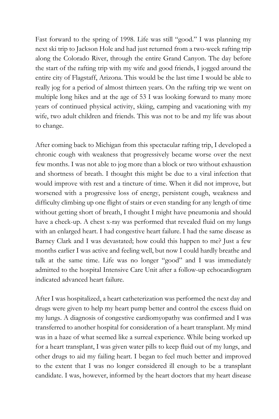Fast forward to the spring of 1998. Life was still "good." I was planning my next ski trip to Jackson Hole and had just returned from a two-week rafting trip along the Colorado River, through the entire Grand Canyon. The day before the start of the rafting trip with my wife and good friends, I jogged around the entire city of Flagstaff, Arizona. This would be the last time I would be able to really jog for a period of almost thirteen years. On the rafting trip we went on multiple long hikes and at the age of 53 I was looking forward to many more years of continued physical activity, skiing, camping and vacationing with my wife, two adult children and friends. This was not to be and my life was about to change.

After coming back to Michigan from this spectacular rafting trip, I developed a chronic cough with weakness that progressively became worse over the next few months. I was not able to jog more than a block or two without exhaustion and shortness of breath. I thought this might be due to a viral infection that would improve with rest and a tincture of time. When it did not improve, but worsened with a progressive loss of energy, persistent cough, weakness and difficulty climbing up one flight of stairs or even standing for any length of time without getting short of breath, I thought I might have pneumonia and should have a check-up. A chest x-ray was performed that revealed fluid on my lungs with an enlarged heart. I had congestive heart failure. I had the same disease as Barney Clark and I was devastated; how could this happen to me? Just a few months earlier I was active and feeling well, but now I could hardly breathe and talk at the same time. Life was no longer "good" and I was immediately admitted to the hospital Intensive Care Unit after a follow-up echocardiogram indicated advanced heart failure.

After I was hospitalized, a heart catheterization was performed the next day and drugs were given to help my heart pump better and control the excess fluid on my lungs. A diagnosis of congestive cardiomyopathy was confirmed and I was transferred to another hospital for consideration of a heart transplant. My mind was in a haze of what seemed like a surreal experience. While being worked up for a heart transplant, I was given water pills to keep fluid out of my lungs, and other drugs to aid my failing heart. I began to feel much better and improved to the extent that I was no longer considered ill enough to be a transplant candidate. I was, however, informed by the heart doctors that my heart disease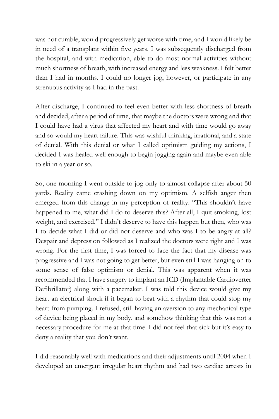was not curable, would progressively get worse with time, and I would likely be in need of a transplant within five years. I was subsequently discharged from the hospital, and with medication, able to do most normal activities without much shortness of breath, with increased energy and less weakness. I felt better than I had in months. I could no longer jog, however, or participate in any strenuous activity as I had in the past.

After discharge, I continued to feel even better with less shortness of breath and decided, after a period of time, that maybe the doctors were wrong and that I could have had a virus that affected my heart and with time would go away and so would my heart failure. This was wishful thinking, irrational, and a state of denial. With this denial or what I called optimism guiding my actions, I decided I was healed well enough to begin jogging again and maybe even able to ski in a year or so.

So, one morning I went outside to jog only to almost collapse after about 50 yards. Reality came crashing down on my optimism. A selfish anger then emerged from this change in my perception of reality. "This shouldn't have happened to me, what did I do to deserve this? After all, I quit smoking, lost weight, and exercised." I didn't deserve to have this happen but then, who was I to decide what I did or did not deserve and who was I to be angry at all? Despair and depression followed as I realized the doctors were right and I was wrong. For the first time, I was forced to face the fact that my disease was progressive and I was not going to get better, but even still I was hanging on to some sense of false optimism or denial. This was apparent when it was recommended that I have surgery to implant an ICD (Implantable Cardioverter Defibrillator) along with a pacemaker. I was told this device would give my heart an electrical shock if it began to beat with a rhythm that could stop my heart from pumping. I refused, still having an aversion to any mechanical type of device being placed in my body, and somehow thinking that this was not a necessary procedure for me at that time. I did not feel that sick but it's easy to deny a reality that you don't want.

I did reasonably well with medications and their adjustments until 2004 when I developed an emergent irregular heart rhythm and had two cardiac arrests in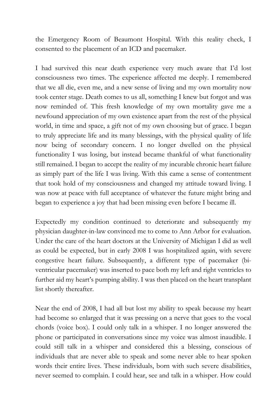the Emergency Room of Beaumont Hospital. With this reality check, I consented to the placement of an ICD and pacemaker.

I had survived this near death experience very much aware that I'd lost consciousness two times. The experience affected me deeply. I remembered that we all die, even me, and a new sense of living and my own mortality now took center stage. Death comes to us all, something I knew but forgot and was now reminded of. This fresh knowledge of my own mortality gave me a newfound appreciation of my own existence apart from the rest of the physical world, in time and space, a gift not of my own choosing but of grace. I began to truly appreciate life and its many blessings, with the physical quality of life now being of secondary concern. I no longer dwelled on the physical functionality I was losing, but instead became thankful of what functionality still remained. I began to accept the reality of my incurable chronic heart failure as simply part of the life I was living. With this came a sense of contentment that took hold of my consciousness and changed my attitude toward living. I was now at peace with full acceptance of whatever the future might bring and began to experience a joy that had been missing even before I became ill.

Expectedly my condition continued to deteriorate and subsequently my physician daughter-in-law convinced me to come to Ann Arbor for evaluation. Under the care of the heart doctors at the University of Michigan I did as well as could be expected, but in early 2008 I was hospitalized again, with severe congestive heart failure. Subsequently, a different type of pacemaker (biventricular pacemaker) was inserted to pace both my left and right ventricles to further aid my heart's pumping ability. I was then placed on the heart transplant list shortly thereafter.

Near the end of 2008, I had all but lost my ability to speak because my heart had become so enlarged that it was pressing on a nerve that goes to the vocal chords (voice box). I could only talk in a whisper. I no longer answered the phone or participated in conversations since my voice was almost inaudible. I could still talk in a whisper and considered this a blessing, conscious of individuals that are never able to speak and some never able to hear spoken words their entire lives. These individuals, born with such severe disabilities, never seemed to complain. I could hear, see and talk in a whisper. How could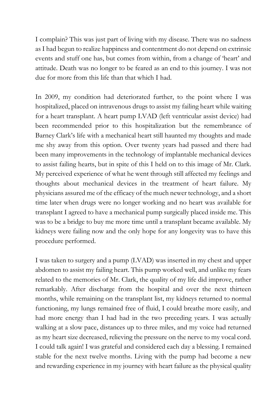I complain? This was just part of living with my disease. There was no sadness as I had begun to realize happiness and contentment do not depend on extrinsic events and stuff one has, but comes from within, from a change of 'heart' and attitude. Death was no longer to be feared as an end to this journey. I was not due for more from this life than that which I had.

In 2009, my condition had deteriorated further, to the point where I was hospitalized, placed on intravenous drugs to assist my failing heart while waiting for a heart transplant. A heart pump LVAD (left ventricular assist device) had been recommended prior to this hospitalization but the remembrance of Barney Clark's life with a mechanical heart still haunted my thoughts and made me shy away from this option. Over twenty years had passed and there had been many improvements in the technology of implantable mechanical devices to assist failing hearts, but in spite of this I held on to this image of Mr. Clark. My perceived experience of what he went through still affected my feelings and thoughts about mechanical devices in the treatment of heart failure. My physicians assured me of the efficacy of the much newer technology, and a short time later when drugs were no longer working and no heart was available for transplant I agreed to have a mechanical pump surgically placed inside me. This was to be a bridge to buy me more time until a transplant became available. My kidneys were failing now and the only hope for any longevity was to have this procedure performed.

I was taken to surgery and a pump (LVAD) was inserted in my chest and upper abdomen to assist my failing heart. This pump worked well, and unlike my fears related to the memories of Mr. Clark, the quality of my life did improve, rather remarkably. After discharge from the hospital and over the next thirteen months, while remaining on the transplant list, my kidneys returned to normal functioning, my lungs remained free of fluid, I could breathe more easily, and had more energy than I had had in the two preceding years. I was actually walking at a slow pace, distances up to three miles, and my voice had returned as my heart size decreased, relieving the pressure on the nerve to my vocal cord. I could talk again! I was grateful and considered each day a blessing. I remained stable for the next twelve months. Living with the pump had become a new and rewarding experience in my journey with heart failure as the physical quality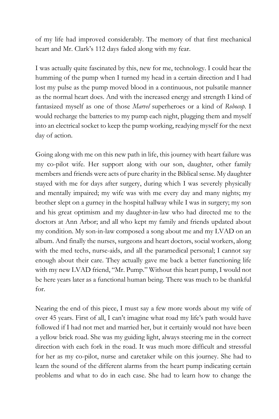of my life had improved considerably. The memory of that first mechanical heart and Mr. Clark's 112 days faded along with my fear.

I was actually quite fascinated by this, new for me, technology. I could hear the humming of the pump when I turned my head in a certain direction and I had lost my pulse as the pump moved blood in a continuous, not pulsatile manner as the normal heart does. And with the increased energy and strength I kind of fantasized myself as one of those *Marvel* superheroes or a kind of *Robocop*. I would recharge the batteries to my pump each night, plugging them and myself into an electrical socket to keep the pump working, readying myself for the next day of action.

Going along with me on this new path in life, this journey with heart failure was my co-pilot wife. Her support along with our son, daughter, other family members and friends were acts of pure charity in the Biblical sense. My daughter stayed with me for days after surgery, during which I was severely physically and mentally impaired; my wife was with me every day and many nights; my brother slept on a gurney in the hospital hallway while I was in surgery; my son and his great optimism and my daughter-in-law who had directed me to the doctors at Ann Arbor; and all who kept my family and friends updated about my condition. My son-in-law composed a song about me and my LVAD on an album. And finally the nurses, surgeons and heart doctors, social workers, along with the med techs, nurse-aids, and all the paramedical personal; I cannot say enough about their care. They actually gave me back a better functioning life with my new LVAD friend, "Mr. Pump." Without this heart pump, I would not be here years later as a functional human being. There was much to be thankful for.

Nearing the end of this piece, I must say a few more words about my wife of over 45 years. First of all, I can't imagine what road my life's path would have followed if I had not met and married her, but it certainly would not have been a yellow brick road. She was my guiding light, always steering me in the correct direction with each fork in the road. It was much more difficult and stressful for her as my co-pilot, nurse and caretaker while on this journey. She had to learn the sound of the different alarms from the heart pump indicating certain problems and what to do in each case. She had to learn how to change the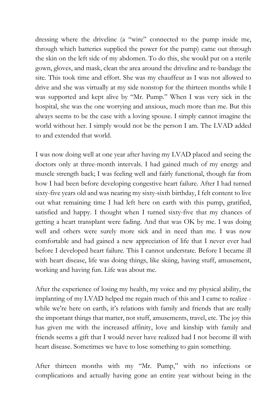dressing where the driveline (a "wire" connected to the pump inside me, through which batteries supplied the power for the pump) came out through the skin on the left side of my abdomen. To do this, she would put on a sterile gown, gloves, and mask, clean the area around the driveline and re-bandage the site. This took time and effort. She was my chauffeur as I was not allowed to drive and she was virtually at my side nonstop for the thirteen months while I was supported and kept alive by "Mr. Pump." When I was very sick in the hospital, she was the one worrying and anxious, much more than me. But this always seems to be the case with a loving spouse. I simply cannot imagine the world without her. I simply would not be the person I am. The LVAD added to and extended that world.

I was now doing well at one year after having my LVAD placed and seeing the doctors only at three-month intervals. I had gained much of my energy and muscle strength back; I was feeling well and fairly functional, though far from how I had been before developing congestive heart failure. After I had turned sixty-five years old and was nearing my sixty-sixth birthday, I felt content to live out what remaining time I had left here on earth with this pump, gratified, satisfied and happy. I thought when I turned sixty-five that my chances of getting a heart transplant were fading. And that was OK by me. I was doing well and others were surely more sick and in need than me. I was now comfortable and had gained a new appreciation of life that I never ever had before I developed heart failure. This I cannot understate. Before I became ill with heart disease, life was doing things, like skiing, having stuff, amusement, working and having fun. Life was about me.

After the experience of losing my health, my voice and my physical ability, the implanting of my LVAD helped me regain much of this and I came to realize while we're here on earth, it's relations with family and friends that are really the important things that matter, not stuff, amusements, travel, etc. The joy this has given me with the increased affinity, love and kinship with family and friends seems a gift that I would never have realized had I not become ill with heart disease. Sometimes we have to lose something to gain something.

After thirteen months with my "Mr. Pump," with no infections or complications and actually having gone an entire year without being in the